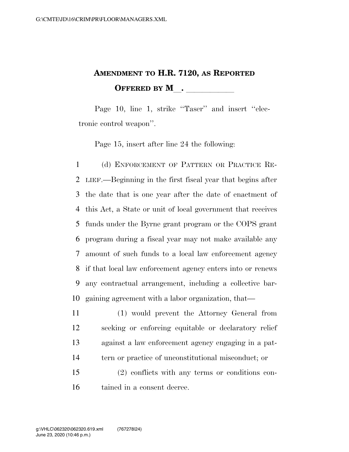## **AMENDMENT TO H.R. 7120, AS REPORTED OFFERED BY M**.

Page 10, line 1, strike "Taser" and insert "electronic control weapon''.

Page 15, insert after line 24 the following:

 (d) ENFORCEMENT OF PATTERN OR PRACTICE RE- LIEF.—Beginning in the first fiscal year that begins after the date that is one year after the date of enactment of this Act, a State or unit of local government that receives funds under the Byrne grant program or the COPS grant program during a fiscal year may not make available any amount of such funds to a local law enforcement agency if that local law enforcement agency enters into or renews any contractual arrangement, including a collective bar-gaining agreement with a labor organization, that—

 (1) would prevent the Attorney General from seeking or enforcing equitable or declaratory relief against a law enforcement agency engaging in a pat- tern or practice of unconstitutional misconduct; or (2) conflicts with any terms or conditions con-tained in a consent decree.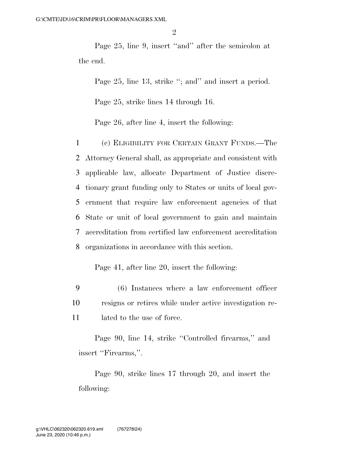Page 25, line 9, insert ''and'' after the semicolon at the end.

Page 25, line 13, strike "; and" and insert a period.

Page 25, strike lines 14 through 16.

Page 26, after line 4, insert the following:

 (c) ELIGIBILITY FOR CERTAIN GRANT FUNDS.—The Attorney General shall, as appropriate and consistent with applicable law, allocate Department of Justice discre- tionary grant funding only to States or units of local gov- ernment that require law enforcement agencies of that State or unit of local government to gain and maintain accreditation from certified law enforcement accreditation organizations in accordance with this section.

Page 41, after line 20, insert the following:

9 (6) Instances where a law enforcement officer 10 resigns or retires while under active investigation re-11 lated to the use of force.

Page 90, line 14, strike ''Controlled firearms,'' and insert "Firearms,".

Page 90, strike lines 17 through 20, and insert the following: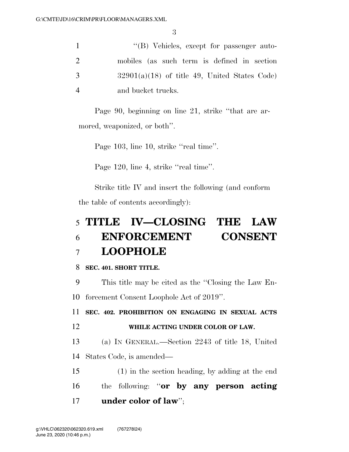1 ''(B) Vehicles, except for passenger auto-2 mobiles (as such term is defined in section  $3\qquad \qquad 32901(a)(18)$  of title 49, United States Code) 4 and bucket trucks.

Page 90, beginning on line 21, strike ''that are armored, weaponized, or both''.

Page 103, line 10, strike "real time".

Page 120, line 4, strike "real time".

Strike title IV and insert the following (and conform the table of contents accordingly):

## 5 **TITLE IV—CLOSING THE LAW**  6 **ENFORCEMENT CONSENT**  7 **LOOPHOLE**

8 **SEC. 401. SHORT TITLE.** 

9 This title may be cited as the ''Closing the Law En-10 forcement Consent Loophole Act of 2019''.

11 **SEC. 402. PROHIBITION ON ENGAGING IN SEXUAL ACTS**  12 **WHILE ACTING UNDER COLOR OF LAW.** 

13 (a) IN GENERAL.—Section 2243 of title 18, United 14 States Code, is amended—

15 (1) in the section heading, by adding at the end 16 the following: ''**or by any person acting**  17 **under color of law**'';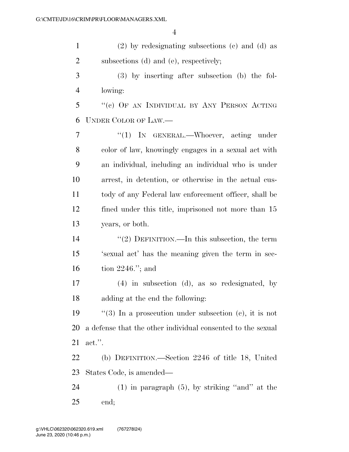| $\mathbf{1}$   | $(2)$ by redesignating subsections $(e)$ and $(d)$ as       |
|----------------|-------------------------------------------------------------|
| $\overline{2}$ | subsections (d) and (e), respectively;                      |
| 3              | $(3)$ by inserting after subsection (b) the fol-            |
| $\overline{4}$ | lowing:                                                     |
| 5              | "(c) OF AN INDIVIDUAL BY ANY PERSON ACTING                  |
| 6              | UNDER COLOR OF LAW.—                                        |
| 7              | " $(1)$ IN GENERAL.—Whoever, acting under                   |
| 8              | color of law, knowingly engages in a sexual act with        |
| 9              | an individual, including an individual who is under         |
| 10             | arrest, in detention, or otherwise in the actual cus-       |
| 11             | tody of any Federal law enforcement officer, shall be       |
| 12             | fined under this title, imprisoned not more than 15         |
| 13             | years, or both.                                             |
| 14             | "(2) DEFINITION.—In this subsection, the term               |
| 15             | 's exual act' has the meaning given the term in sec-        |
| 16             | tion $2246$ ."; and                                         |
| 17             | $(4)$ in subsection $(d)$ , as so redesignated, by          |
| 18             | adding at the end the following:                            |
| 19             | "(3) In a prosecution under subsection (c), it is not       |
| 20             | a defense that the other individual consented to the sexual |
| 21             | $\text{act.}$ ".                                            |
| <u>22</u>      | (b) DEFINITION.—Section 2246 of title 18, United            |
| 23             | States Code, is amended—                                    |
| 24             | $(1)$ in paragraph $(5)$ , by striking "and" at the         |
| 25             | end;                                                        |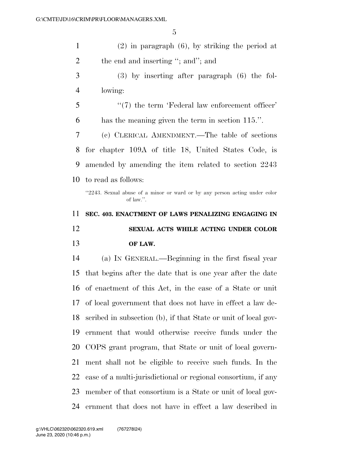(2) in paragraph (6), by striking the period at 2 the end and inserting "; and"; and (3) by inserting after paragraph (6) the fol- lowing:  $\frac{1}{2}$  (7) the term 'Federal law enforcement officer' has the meaning given the term in section 115.''. (c) CLERICAL AMENDMENT.—The table of sections for chapter 109A of title 18, United States Code, is amended by amending the item related to section 2243 to read as follows: ''2243. Sexual abuse of a minor or ward or by any person acting under color of law.''. **SEC. 403. ENACTMENT OF LAWS PENALIZING ENGAGING IN SEXUAL ACTS WHILE ACTING UNDER COLOR OF LAW.**  (a) IN GENERAL.—Beginning in the first fiscal year that begins after the date that is one year after the date of enactment of this Act, in the case of a State or unit of local government that does not have in effect a law de-scribed in subsection (b), if that State or unit of local gov-

 ernment that would otherwise receive funds under the COPS grant program, that State or unit of local govern- ment shall not be eligible to receive such funds. In the case of a multi-jurisdictional or regional consortium, if any member of that consortium is a State or unit of local gov-ernment that does not have in effect a law described in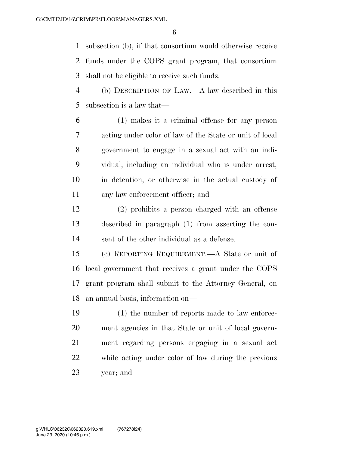subsection (b), if that consortium would otherwise receive funds under the COPS grant program, that consortium shall not be eligible to receive such funds.

 (b) DESCRIPTION OF LAW.—A law described in this subsection is a law that—

 (1) makes it a criminal offense for any person acting under color of law of the State or unit of local government to engage in a sexual act with an indi- vidual, including an individual who is under arrest, in detention, or otherwise in the actual custody of any law enforcement officer; and

 (2) prohibits a person charged with an offense described in paragraph (1) from asserting the con-sent of the other individual as a defense.

 (c) REPORTING REQUIREMENT.—A State or unit of local government that receives a grant under the COPS grant program shall submit to the Attorney General, on an annual basis, information on—

 (1) the number of reports made to law enforce- ment agencies in that State or unit of local govern- ment regarding persons engaging in a sexual act while acting under color of law during the previous year; and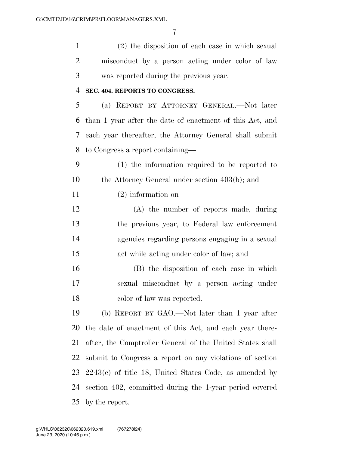(2) the disposition of each case in which sexual misconduct by a person acting under color of law was reported during the previous year.

## **SEC. 404. REPORTS TO CONGRESS.**

 (a) REPORT BY ATTORNEY GENERAL.—Not later than 1 year after the date of enactment of this Act, and each year thereafter, the Attorney General shall submit to Congress a report containing—

 (1) the information required to be reported to the Attorney General under section 403(b); and

(2) information on—

 (A) the number of reports made, during the previous year, to Federal law enforcement agencies regarding persons engaging in a sexual act while acting under color of law; and

 (B) the disposition of each case in which sexual misconduct by a person acting under color of law was reported.

 (b) REPORT BY GAO.—Not later than 1 year after the date of enactment of this Act, and each year there- after, the Comptroller General of the United States shall submit to Congress a report on any violations of section 2243(c) of title 18, United States Code, as amended by section 402, committed during the 1-year period covered by the report.